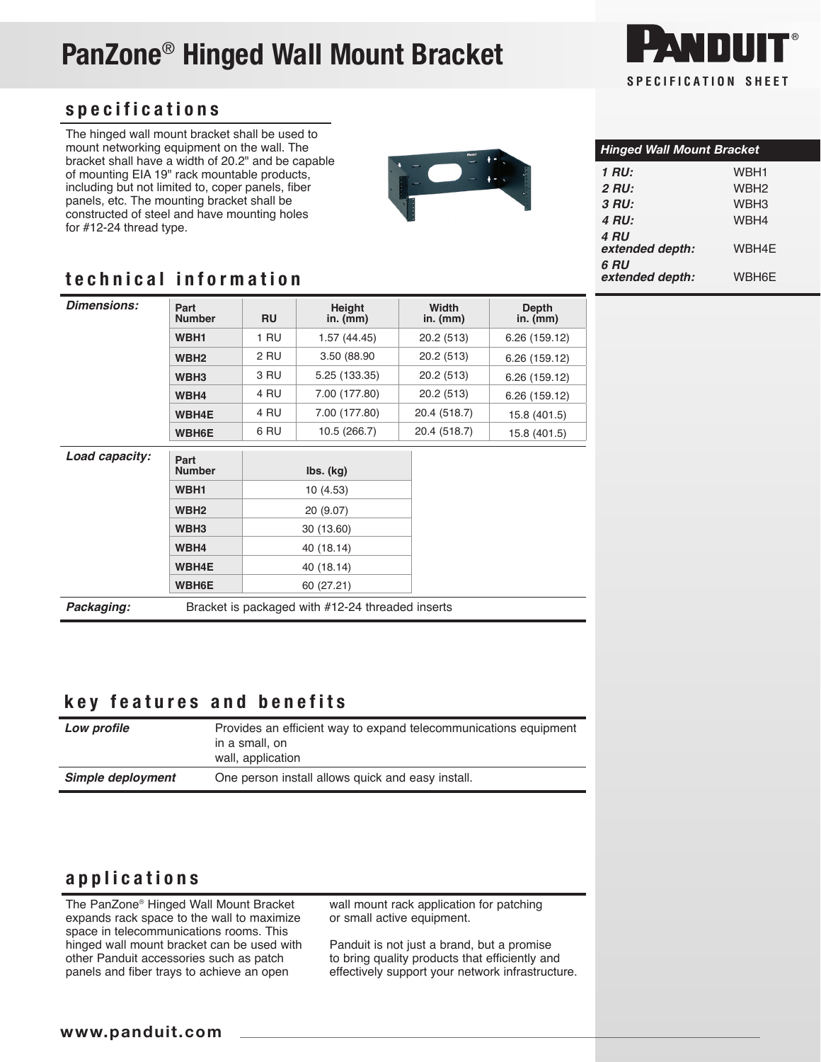# PanZone® Hinged Wall Mount Bracket



#### specifications

The hinged wall mount bracket shall be used to mount networking equipment on the wall. The bracket shall have a width of 20.2" and be capable of mounting EIA 19" rack mountable products, including but not limited to, coper panels, fiber panels, etc. The mounting bracket shall be constructed of steel and have mounting holes for #12-24 thread type.



| <b>Hinged Wall Mount Bracket</b> |                  |  |  |  |
|----------------------------------|------------------|--|--|--|
| 1 RU:                            | WBH1             |  |  |  |
| <b>2 RU:</b>                     | WBH <sub>2</sub> |  |  |  |
| 3 RU:                            | WBH3             |  |  |  |
| 4 RU:                            | WBH4             |  |  |  |
| 4 RU<br>extended depth:          | WBH4F            |  |  |  |
| 6 RU<br>extended denth:          | WRHAF            |  |  |  |

### *extended depth:* WBH6E technical information

| <b>Dimensions:</b> | Part<br><b>Number</b> | <b>RU</b> | Height<br>in. $(mm)$                             | Width<br>in. (mm) | <b>Depth</b><br>in. $(mm)$ |
|--------------------|-----------------------|-----------|--------------------------------------------------|-------------------|----------------------------|
|                    | WBH1                  | 1 RU      | 1.57(44.45)                                      | 20.2 (513)        | 6.26 (159.12)              |
|                    | WBH <sub>2</sub>      | 2 RU      | 3.50 (88.90)                                     | 20.2 (513)        | 6.26 (159.12)              |
|                    | WBH <sub>3</sub>      | 3 RU      | 5.25 (133.35)                                    | 20.2 (513)        | 6.26 (159.12)              |
|                    | WBH4                  | 4 RU      | 7.00 (177.80)                                    | 20.2 (513)        | 6.26 (159.12)              |
|                    | <b>WBH4E</b>          | 4 RU      | 7.00 (177.80)                                    | 20.4 (518.7)      | 15.8 (401.5)               |
|                    | <b>WBH6E</b>          | 6 RU      | 10.5 (266.7)                                     | 20.4 (518.7)      | 15.8 (401.5)               |
| Load capacity:     | Part<br><b>Number</b> |           | $\mathsf{lbs.}\mathsf{(kg)}$                     |                   |                            |
|                    | WBH1                  |           | 10 (4.53)                                        |                   |                            |
|                    | WBH <sub>2</sub>      |           | 20 (9.07)                                        |                   |                            |
|                    | WBH <sub>3</sub>      |           | 30 (13.60)                                       |                   |                            |
|                    | WBH4                  |           | 40 (18.14)                                       |                   |                            |
|                    | <b>WBH4E</b>          |           | 40 (18.14)                                       |                   |                            |
|                    | <b>WBH6E</b>          |           | 60 (27.21)                                       |                   |                            |
| Packaging:         |                       |           | Bracket is packaged with #12-24 threaded inserts |                   |                            |

#### key features and benefits

| Low profile       | Provides an efficient way to expand telecommunications equipment<br>in a small, on<br>wall, application |
|-------------------|---------------------------------------------------------------------------------------------------------|
| Simple deployment | One person install allows quick and easy install.                                                       |

#### applications

The PanZone® Hinged Wall Mount Bracket expands rack space to the wall to maximize space in telecommunications rooms. This hinged wall mount bracket can be used with other Panduit accessories such as patch panels and fiber trays to achieve an open

wall mount rack application for patching or small active equipment.

Panduit is not just a brand, but a promise to bring quality products that efficiently and effectively support your network infrastructure.